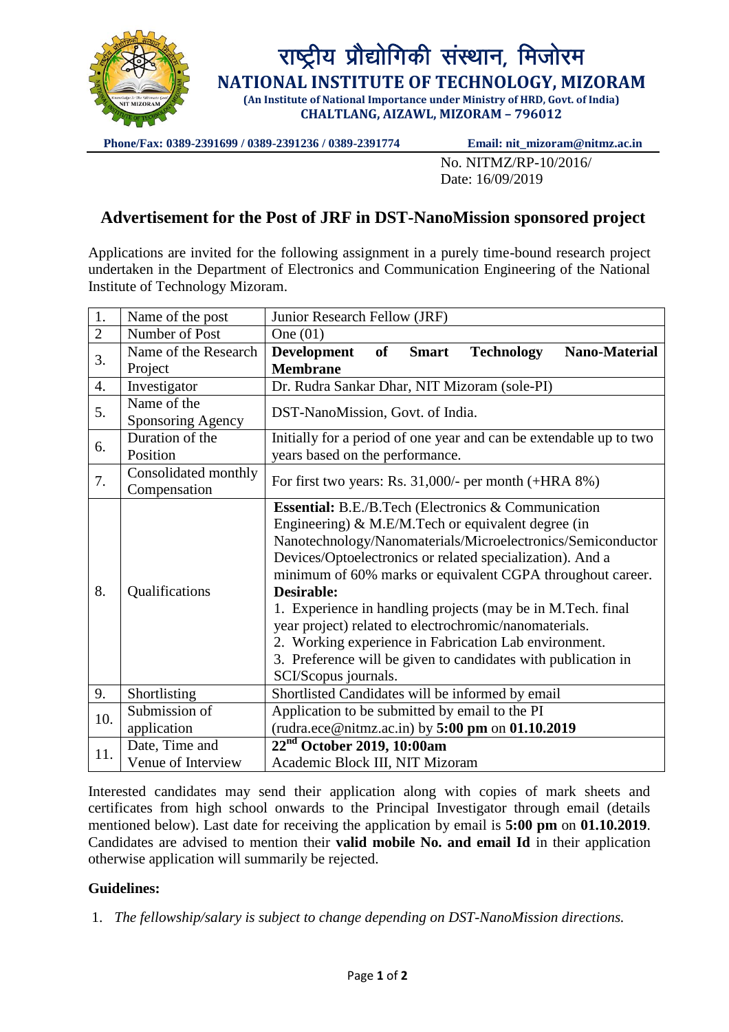

**Phone/Fax: 0389-2391699 / 0389-2391236 / 0389-2391774 Email: nit\_mizoram@nitmz.ac.in**

No. NITMZ/RP-10/2016/ Date: 16/09/2019

## **Advertisement for the Post of JRF in DST-NanoMission sponsored project**

Applications are invited for the following assignment in a purely time-bound research project undertaken in the Department of Electronics and Communication Engineering of the National Institute of Technology Mizoram.

| 1.             | Name of the post                     | Junior Research Fellow (JRF)                                                                                                                                                                                                                                                                                                                                                                                                                                                                                                                                                                           |
|----------------|--------------------------------------|--------------------------------------------------------------------------------------------------------------------------------------------------------------------------------------------------------------------------------------------------------------------------------------------------------------------------------------------------------------------------------------------------------------------------------------------------------------------------------------------------------------------------------------------------------------------------------------------------------|
| $\overline{2}$ | Number of Post                       | One $(01)$                                                                                                                                                                                                                                                                                                                                                                                                                                                                                                                                                                                             |
| 3.             | Name of the Research<br>Project      | <b>of</b><br><b>Nano-Material</b><br><b>Development</b><br><b>Smart</b><br><b>Technology</b><br><b>Membrane</b>                                                                                                                                                                                                                                                                                                                                                                                                                                                                                        |
| 4.             | Investigator                         | Dr. Rudra Sankar Dhar, NIT Mizoram (sole-PI)                                                                                                                                                                                                                                                                                                                                                                                                                                                                                                                                                           |
| 5.             | Name of the<br>Sponsoring Agency     | DST-NanoMission, Govt. of India.                                                                                                                                                                                                                                                                                                                                                                                                                                                                                                                                                                       |
| 6.             | Duration of the<br>Position          | Initially for a period of one year and can be extendable up to two<br>years based on the performance.                                                                                                                                                                                                                                                                                                                                                                                                                                                                                                  |
| 7.             | Consolidated monthly<br>Compensation | For first two years: Rs. $31,000/$ - per month (+HRA 8%)                                                                                                                                                                                                                                                                                                                                                                                                                                                                                                                                               |
| 8.             | Qualifications                       | Essential: B.E./B.Tech (Electronics & Communication<br>Engineering) $& M.E/M.$ Tech or equivalent degree (in<br>Nanotechnology/Nanomaterials/Microelectronics/Semiconductor<br>Devices/Optoelectronics or related specialization). And a<br>minimum of 60% marks or equivalent CGPA throughout career.<br><b>Desirable:</b><br>1. Experience in handling projects (may be in M.Tech. final<br>year project) related to electrochromic/nanomaterials.<br>2. Working experience in Fabrication Lab environment.<br>3. Preference will be given to candidates with publication in<br>SCI/Scopus journals. |
| 9.             | Shortlisting                         | Shortlisted Candidates will be informed by email                                                                                                                                                                                                                                                                                                                                                                                                                                                                                                                                                       |
| 10.            | Submission of<br>application         | Application to be submitted by email to the PI<br>(rudra.ece@nitmz.ac.in) by $5:00 \text{ pm}$ on $01.10.2019$                                                                                                                                                                                                                                                                                                                                                                                                                                                                                         |
| 11.            | Date, Time and<br>Venue of Interview | $22nd$ October 2019, 10:00am<br>Academic Block III, NIT Mizoram                                                                                                                                                                                                                                                                                                                                                                                                                                                                                                                                        |

Interested candidates may send their application along with copies of mark sheets and certificates from high school onwards to the Principal Investigator through email (details mentioned below). Last date for receiving the application by email is **5:00 pm** on **01.10.2019**. Candidates are advised to mention their **valid mobile No. and email Id** in their application otherwise application will summarily be rejected.

## **Guidelines:**

1. *The fellowship/salary is subject to change depending on DST-NanoMission directions.*